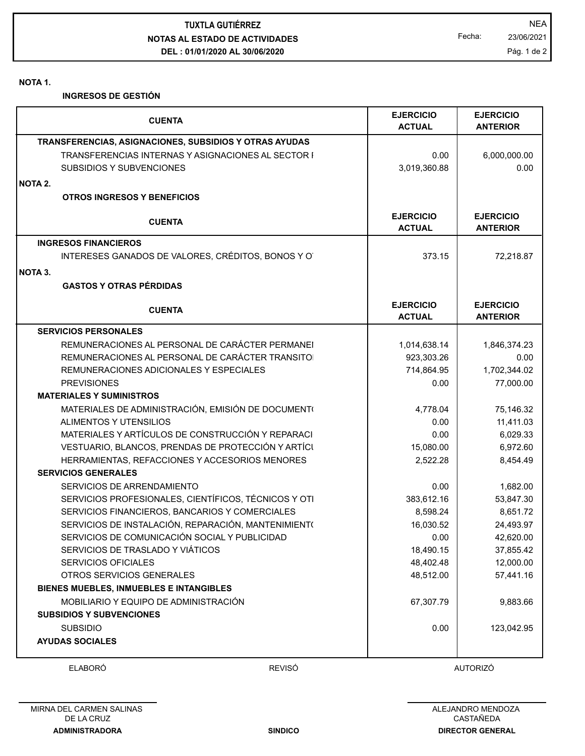**NOTAS AL ESTADO DE ACTIVIDADES DEL : 01/01/2020 AL 30/06/2020 TUXTLA GUTIÉRREZ** NEA

Fecha: 23/06/2021

**NOTA 1.**

**INGRESOS DE GESTIÓN**

| <b>CUENTA</b>                                             |               | <b>EJERCICIO</b><br><b>ACTUAL</b> | <b>EJERCICIO</b><br><b>ANTERIOR</b> |
|-----------------------------------------------------------|---------------|-----------------------------------|-------------------------------------|
| TRANSFERENCIAS, ASIGNACIONES, SUBSIDIOS Y OTRAS AYUDAS    |               |                                   |                                     |
| <b>TRANSFERENCIAS INTERNAS Y ASIGNACIONES AL SECTOR I</b> |               | 0.00                              | 6,000,000.00                        |
| SUBSIDIOS Y SUBVENCIONES                                  |               | 3,019,360.88                      | 0.00                                |
| NOTA 2.                                                   |               |                                   |                                     |
| <b>OTROS INGRESOS Y BENEFICIOS</b>                        |               |                                   |                                     |
| <b>CUENTA</b>                                             |               | <b>EJERCICIO</b><br><b>ACTUAL</b> | <b>EJERCICIO</b><br><b>ANTERIOR</b> |
| <b>INGRESOS FINANCIEROS</b>                               |               |                                   |                                     |
| INTERESES GANADOS DE VALORES, CRÉDITOS, BONOS Y O         |               | 373.15                            | 72,218.87                           |
| NOTA 3.                                                   |               |                                   |                                     |
| <b>GASTOS Y OTRAS PÉRDIDAS</b>                            |               |                                   |                                     |
| <b>CUENTA</b>                                             |               | <b>EJERCICIO</b><br><b>ACTUAL</b> | <b>EJERCICIO</b><br><b>ANTERIOR</b> |
| <b>SERVICIOS PERSONALES</b>                               |               |                                   |                                     |
| REMUNERACIONES AL PERSONAL DE CARÁCTER PERMANEI           |               | 1,014,638.14                      | 1,846,374.23                        |
| REMUNERACIONES AL PERSONAL DE CARÁCTER TRANSITO           |               | 923,303.26                        | 0.00                                |
| REMUNERACIONES ADICIONALES Y ESPECIALES                   |               | 714,864.95                        | 1,702,344.02                        |
| <b>PREVISIONES</b>                                        |               | 0.00                              | 77,000.00                           |
| <b>MATERIALES Y SUMINISTROS</b>                           |               |                                   |                                     |
| MATERIALES DE ADMINISTRACIÓN, EMISIÓN DE DOCUMENTO        |               | 4,778.04                          | 75,146.32                           |
| ALIMENTOS Y UTENSILIOS                                    |               | 0.00                              | 11,411.03                           |
| MATERIALES Y ARTÍCULOS DE CONSTRUCCIÓN Y REPARACI         |               | 0.00                              | 6,029.33                            |
| VESTUARIO, BLANCOS, PRENDAS DE PROTECCIÓN Y ARTÍCI        |               | 15,080.00                         | 6,972.60                            |
| HERRAMIENTAS, REFACCIONES Y ACCESORIOS MENORES            |               | 2,522.28                          | 8,454.49                            |
| <b>SERVICIOS GENERALES</b>                                |               |                                   |                                     |
| SERVICIOS DE ARRENDAMIENTO                                |               | 0.00                              | 1,682.00                            |
| SERVICIOS PROFESIONALES, CIENTÍFICOS, TÉCNICOS Y OTI      |               | 383,612.16                        | 53,847.30                           |
| SERVICIOS FINANCIEROS, BANCARIOS Y COMERCIALES            |               | 8,598.24                          | 8,651.72                            |
| SERVICIOS DE INSTALACIÓN, REPARACIÓN, MANTENIMIENT(       |               | 16,030.52                         | 24,493.97                           |
| SERVICIOS DE COMUNICACIÓN SOCIAL Y PUBLICIDAD             |               | 0.00                              | 42,620.00                           |
| SERVICIOS DE TRASLADO Y VIÁTICOS                          |               | 18,490.15                         | 37,855.42                           |
| <b>SERVICIOS OFICIALES</b>                                |               | 48,402.48                         | 12,000.00                           |
| OTROS SERVICIOS GENERALES                                 |               | 48,512.00                         | 57,441.16                           |
| BIENES MUEBLES, INMUEBLES E INTANGIBLES                   |               |                                   |                                     |
| MOBILIARIO Y EQUIPO DE ADMINISTRACIÓN                     |               | 67,307.79                         | 9,883.66                            |
| <b>SUBSIDIOS Y SUBVENCIONES</b>                           |               |                                   |                                     |
| <b>SUBSIDIO</b>                                           |               | 0.00                              | 123,042.95                          |
| <b>AYUDAS SOCIALES</b>                                    |               |                                   |                                     |
| <b>ELABORÓ</b>                                            | <b>REVISÓ</b> |                                   | <b>AUTORIZÓ</b>                     |